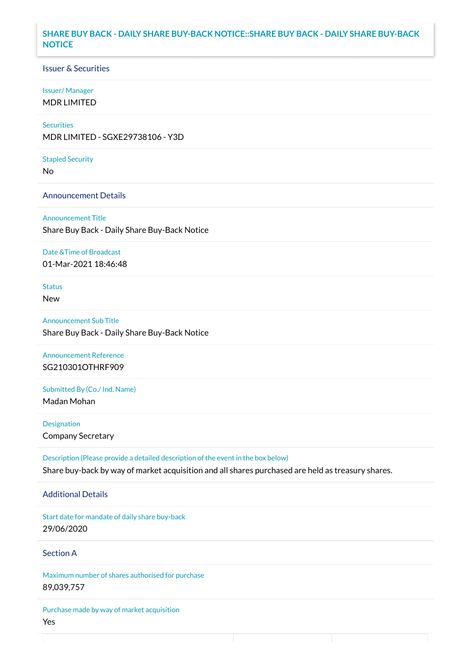### **SHARE BUY BACK - DAILY SHARE BUY-BACK NOTICE::SHARE BUY BACK - DAILY SHARE BUY-BACK NOTICE**

### Issuer & Securities

#### Issuer/ Manager

MDR LIMITED

# **Securities**

MDR LIMITED - SGXE29738106 - Y3D

#### Stapled Security

No

#### Announcement Details

Announcement Title Share Buy Back - Daily Share Buy-Back Notice

#### Date &Time of Broadcast

01-Mar-2021 18:46:48

# Status

New

Announcement Sub Title Share Buy Back - Daily Share Buy-Back Notice

## Announcement Reference SG210301OTHRF909

Submitted By (Co./ Ind. Name)

Madan Mohan

**Designation** Company Secretary

Description (Please provide a detailed description of the event in the box below) Share buy-back by way of market acquisition and all shares purchased are held as treasury shares.

#### Additional Details

Start date for mandate of daily share buy-back 29/06/2020

## Section A

Maximum number of shares authorised for purchase 89,039,757

Purchase made by way of market acquisition Yes